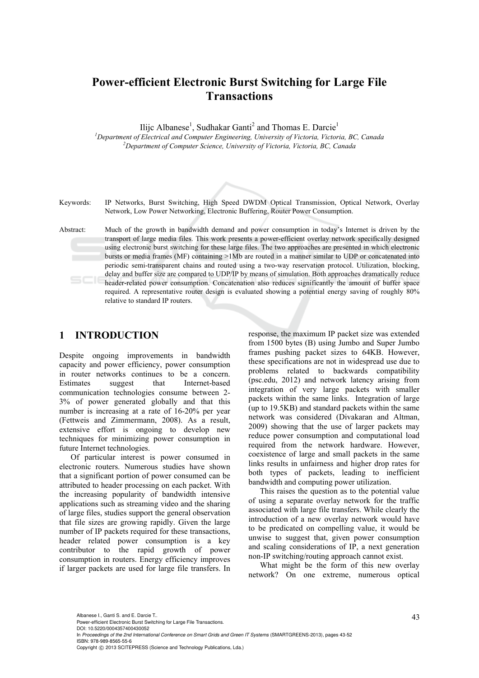# **Power-efficient Electronic Burst Switching for Large File Transactions**

Ilijc Albanese<sup>1</sup>, Sudhakar Ganti<sup>2</sup> and Thomas E. Darcie<sup>1</sup>

<sup>1</sup><br>
<sup>1</sup>Department of Electrical and Computer Engineering, University of Victoria, Victoria, BC, Canada <sup>2</sup><br>
<sup>2</sup>Department of Computer Science, University of Victoria, Victoria, BC, Canada *Department of Computer Science, University of Victoria, Victoria, BC, Canada* 

Keywords: IP Networks, Burst Switching, High Speed DWDM Optical Transmission, Optical Network, Overlay Network, Low Power Networking, Electronic Buffering, Router Power Consumption.

Abstract: Much of the growth in bandwidth demand and power consumption in today's Internet is driven by the transport of large media files. This work presents a power-efficient overlay network specifically designed using electronic burst switching for these large files. The two approaches are presented in which electronic bursts or media frames (MF) containing >1Mb are routed in a manner similar to UDP or concatenated into periodic semi-transparent chains and routed using a two-way reservation protocol. Utilization, blocking, delay and buffer size are compared to UDP/IP by means of simulation. Both approaches dramatically reduce header-related power consumption. Concatenation also reduces significantly the amount of buffer space required. A representative router design is evaluated showing a potential energy saving of roughly 80% relative to standard IP routers.

## **1 INTRODUCTION**

Despite ongoing improvements in bandwidth capacity and power efficiency, power consumption in router networks continues to be a concern. Estimates suggest that Internet-based communication technologies consume between 2- 3% of power generated globally and that this number is increasing at a rate of 16-20% per year (Fettweis and Zimmermann, 2008). As a result, extensive effort is ongoing to develop new techniques for minimizing power consumption in future Internet technologies.

Of particular interest is power consumed in electronic routers. Numerous studies have shown that a significant portion of power consumed can be attributed to header processing on each packet. With the increasing popularity of bandwidth intensive applications such as streaming video and the sharing of large files, studies support the general observation that file sizes are growing rapidly. Given the large number of IP packets required for these transactions, header related power consumption is a key contributor to the rapid growth of power consumption in routers. Energy efficiency improves if larger packets are used for large file transfers. In

response, the maximum IP packet size was extended from 1500 bytes (B) using Jumbo and Super Jumbo frames pushing packet sizes to 64KB. However, these specifications are not in widespread use due to problems related to backwards compatibility (psc.edu, 2012) and network latency arising from integration of very large packets with smaller packets within the same links. Integration of large (up to 19.5KB) and standard packets within the same network was considered (Divakaran and Altman, 2009) showing that the use of larger packets may reduce power consumption and computational load required from the network hardware. However, coexistence of large and small packets in the same links results in unfairness and higher drop rates for both types of packets, leading to inefficient bandwidth and computing power utilization.

This raises the question as to the potential value of using a separate overlay network for the traffic associated with large file transfers. While clearly the introduction of a new overlay network would have to be predicated on compelling value, it would be unwise to suggest that, given power consumption and scaling considerations of IP, a next generation non-IP switching/routing approach cannot exist.

What might be the form of this new overlay network? On one extreme, numerous optical

Albanese I., Ganti S. and E. Darcie T..<br>Power-efficient Electronic Burst Switching for Large File Transactions. DOI: 10.5220/0004357400430052

In *Proceedings of the 2nd International Conference on Smart Grids and Green IT Systems* (SMARTGREENS-2013), pages 43-52 ISBN: 978-989-8565-55-6

Copyright © 2013 SCITEPRESS (Science and Technology Publications, Lda.)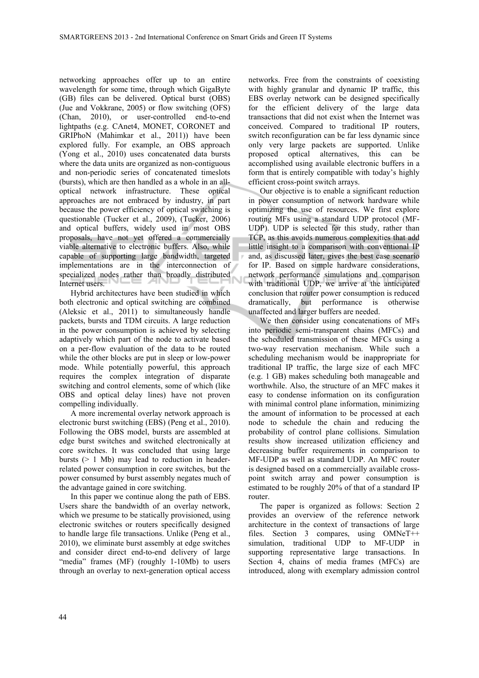networking approaches offer up to an entire wavelength for some time, through which GigaByte (GB) files can be delivered. Optical burst (OBS) (Jue and Vokkrane, 2005) or flow switching (OFS) (Chan, 2010), or user-controlled end-to-end lightpaths (e.g. CAnet4, MONET, CORONET and GRIPhoN (Mahimkar et al., 2011)) have been explored fully. For example, an OBS approach (Yong et al., 2010) uses concatenated data bursts where the data units are organized as non-contiguous and non-periodic series of concatenated timeslots (bursts), which are then handled as a whole in an alloptical network infrastructure. These optical approaches are not embraced by industry, in part because the power efficiency of optical switching is questionable (Tucker et al., 2009), (Tucker, 2006) and optical buffers, widely used in most OBS proposals, have not yet offered a commercially viable alternative to electronic buffers. Also, while capable of supporting large bandwidth, targeted implementations are in the interconnection of specialized nodes rather than broadly distributed Internet users.

Hybrid architectures have been studied in which both electronic and optical switching are combined (Aleksic et al., 2011) to simultaneously handle packets, bursts and TDM circuits. A large reduction in the power consumption is achieved by selecting adaptively which part of the node to activate based on a per-flow evaluation of the data to be routed while the other blocks are put in sleep or low-power mode. While potentially powerful, this approach requires the complex integration of disparate switching and control elements, some of which (like OBS and optical delay lines) have not proven compelling individually.

A more incremental overlay network approach is electronic burst switching (EBS) (Peng et al., 2010). Following the OBS model, bursts are assembled at edge burst switches and switched electronically at core switches. It was concluded that using large bursts  $(> 1$  Mb) may lead to reduction in headerrelated power consumption in core switches, but the power consumed by burst assembly negates much of the advantage gained in core switching.

In this paper we continue along the path of EBS. Users share the bandwidth of an overlay network, which we presume to be statically provisioned, using electronic switches or routers specifically designed to handle large file transactions. Unlike (Peng et al., 2010), we eliminate burst assembly at edge switches and consider direct end-to-end delivery of large "media" frames (MF) (roughly 1-10Mb) to users through an overlay to next-generation optical access

networks. Free from the constraints of coexisting with highly granular and dynamic IP traffic, this EBS overlay network can be designed specifically for the efficient delivery of the large data transactions that did not exist when the Internet was conceived. Compared to traditional IP routers, switch reconfiguration can be far less dynamic since only very large packets are supported. Unlike proposed optical alternatives, this can be accomplished using available electronic buffers in a form that is entirely compatible with today's highly efficient cross-point switch arrays.

Our objective is to enable a significant reduction in power consumption of network hardware while optimizing the use of resources. We first explore routing MFs using a standard UDP protocol (MF-UDP). UDP is selected for this study, rather than TCP, as this avoids numerous complexities that add little insight to a comparison with conventional IP and, as discussed later, gives the best case scenario for IP. Based on simple hardware considerations, network performance simulations and comparison with traditional UDP, we arrive at the anticipated conclusion that router power consumption is reduced dramatically, but performance is otherwise unaffected and larger buffers are needed.

We then consider using concatenations of MFs into periodic semi-transparent chains (MFCs) and the scheduled transmission of these MFCs using a two-way reservation mechanism. While such a scheduling mechanism would be inappropriate for traditional IP traffic, the large size of each MFC (e.g. 1 GB) makes scheduling both manageable and worthwhile. Also, the structure of an MFC makes it easy to condense information on its configuration with minimal control plane information, minimizing the amount of information to be processed at each node to schedule the chain and reducing the probability of control plane collisions. Simulation results show increased utilization efficiency and decreasing buffer requirements in comparison to MF-UDP as well as standard UDP. An MFC router is designed based on a commercially available crosspoint switch array and power consumption is estimated to be roughly 20% of that of a standard IP router.

The paper is organized as follows: Section 2 provides an overview of the reference network architecture in the context of transactions of large files. Section 3 compares, using OMNeT++ simulation, traditional UDP to MF-UDP in supporting representative large transactions. In Section 4, chains of media frames (MFCs) are introduced, along with exemplary admission control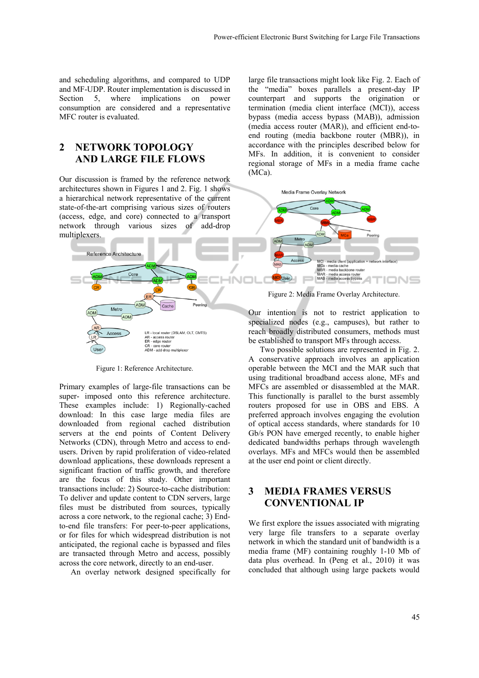and scheduling algorithms, and compared to UDP and MF-UDP. Router implementation is discussed in Section 5, where implications on power consumption are considered and a representative MFC router is evaluated.

# **2 NETWORK TOPOLOGY AND LARGE FILE FLOWS**

Our discussion is framed by the reference network architectures shown in Figures 1 and 2. Fig. 1 shows a hierarchical network representative of the current state-of-the-art comprising various sizes of routers (access, edge, and core) connected to a transport network through various sizes of add-drop multiplexers.



Figure 1: Reference Architecture.

Primary examples of large-file transactions can be super- imposed onto this reference architecture. These examples include: 1) Regionally-cached download: In this case large media files are downloaded from regional cached distribution servers at the end points of Content Delivery Networks (CDN), through Metro and access to endusers. Driven by rapid proliferation of video-related download applications, these downloads represent a significant fraction of traffic growth, and therefore are the focus of this study. Other important transactions include: 2) Source-to-cache distribution: To deliver and update content to CDN servers, large files must be distributed from sources, typically across a core network, to the regional cache; 3) Endto-end file transfers: For peer-to-peer applications, or for files for which widespread distribution is not anticipated, the regional cache is bypassed and files are transacted through Metro and access, possibly across the core network, directly to an end-user.

An overlay network designed specifically for

large file transactions might look like Fig. 2. Each of the "media" boxes parallels a present-day IP counterpart and supports the origination or termination (media client interface (MCI)), access bypass (media access bypass (MAB)), admission (media access router (MAR)), and efficient end-toend routing (media backbone router (MBR)), in accordance with the principles described below for MFs. In addition, it is convenient to consider regional storage of MFs in a media frame cache (MCa).



Figure 2: Media Frame Overlay Architecture.

Our intention is not to restrict application to specialized nodes (e.g., campuses), but rather to reach broadly distributed consumers, methods must be established to transport MFs through access.

Two possible solutions are represented in Fig. 2. A conservative approach involves an application operable between the MCI and the MAR such that using traditional broadband access alone, MFs and MFCs are assembled or disassembled at the MAR. This functionally is parallel to the burst assembly routers proposed for use in OBS and EBS. A preferred approach involves engaging the evolution of optical access standards, where standards for 10 Gb/s PON have emerged recently, to enable higher dedicated bandwidths perhaps through wavelength overlays. MFs and MFCs would then be assembled at the user end point or client directly.

# **3 MEDIA FRAMES VERSUS CONVENTIONAL IP**

We first explore the issues associated with migrating very large file transfers to a separate overlay network in which the standard unit of bandwidth is a media frame (MF) containing roughly 1-10 Mb of data plus overhead. In (Peng et al., 2010) it was concluded that although using large packets would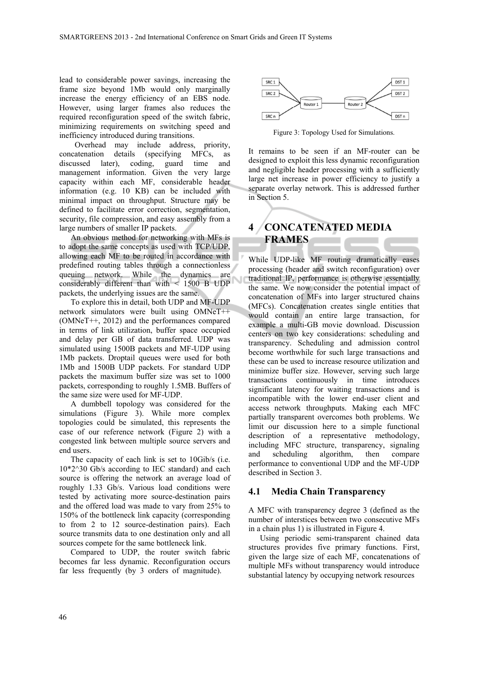lead to considerable power savings, increasing the frame size beyond 1Mb would only marginally increase the energy efficiency of an EBS node. However, using larger frames also reduces the required reconfiguration speed of the switch fabric, minimizing requirements on switching speed and inefficiency introduced during transitions.

 Overhead may include address, priority, concatenation details (specifying MFCs, as discussed later), coding, guard time and management information. Given the very large capacity within each MF, considerable header information (e.g. 10 KB) can be included with minimal impact on throughput. Structure may be defined to facilitate error correction, segmentation, security, file compression, and easy assembly from a large numbers of smaller IP packets.

An obvious method for networking with MFs is to adopt the same concepts as used with TCP/UDP, allowing each MF to be routed in accordance with predefined routing tables through a connectionless queuing network. While the dynamics are considerably different than with < 1500 B UDP packets, the underlying issues are the same.

To explore this in detail, both UDP and MF-UDP network simulators were built using OMNeT++ (OMNeT++, 2012) and the performances compared in terms of link utilization, buffer space occupied and delay per GB of data transferred. UDP was simulated using 1500B packets and MF-UDP using 1Mb packets. Droptail queues were used for both 1Mb and 1500B UDP packets. For standard UDP packets the maximum buffer size was set to 1000 packets, corresponding to roughly 1.5MB. Buffers of the same size were used for MF-UDP.

A dumbbell topology was considered for the simulations (Figure 3). While more complex topologies could be simulated, this represents the case of our reference network (Figure 2) with a congested link between multiple source servers and end users.

The capacity of each link is set to 10Gib/s (i.e.  $10*2^30$  Gb/s according to IEC standard) and each source is offering the network an average load of roughly 1.33 Gb/s. Various load conditions were tested by activating more source-destination pairs and the offered load was made to vary from 25% to 150% of the bottleneck link capacity (corresponding to from 2 to 12 source-destination pairs). Each source transmits data to one destination only and all sources compete for the same bottleneck link.

Compared to UDP, the router switch fabric becomes far less dynamic. Reconfiguration occurs far less frequently (by 3 orders of magnitude).



Figure 3: Topology Used for Simulations.

It remains to be seen if an MF-router can be designed to exploit this less dynamic reconfiguration and negligible header processing with a sufficiently large net increase in power efficiency to justify a separate overlay network. This is addressed further in Section 5.

# **4 CONCATENATED MEDIA FRAMES**

While UDP-like MF routing dramatically eases processing (header and switch reconfiguration) over traditional IP, performance is otherwise essentially the same. We now consider the potential impact of concatenation of MFs into larger structured chains (MFCs). Concatenation creates single entities that would contain an entire large transaction, for example a multi-GB movie download. Discussion centers on two key considerations: scheduling and transparency. Scheduling and admission control become worthwhile for such large transactions and these can be used to increase resource utilization and minimize buffer size. However, serving such large transactions continuously in time introduces significant latency for waiting transactions and is incompatible with the lower end-user client and access network throughputs. Making each MFC partially transparent overcomes both problems. We limit our discussion here to a simple functional description of a representative methodology, including MFC structure, transparency, signaling and scheduling algorithm, then compare performance to conventional UDP and the MF-UDP described in Section 3.

#### **4.1 Media Chain Transparency**

A MFC with transparency degree 3 (defined as the number of interstices between two consecutive MFs in a chain plus 1) is illustrated in Figure 4.

Using periodic semi-transparent chained data structures provides five primary functions. First, given the large size of each MF, concatenations of multiple MFs without transparency would introduce substantial latency by occupying network resources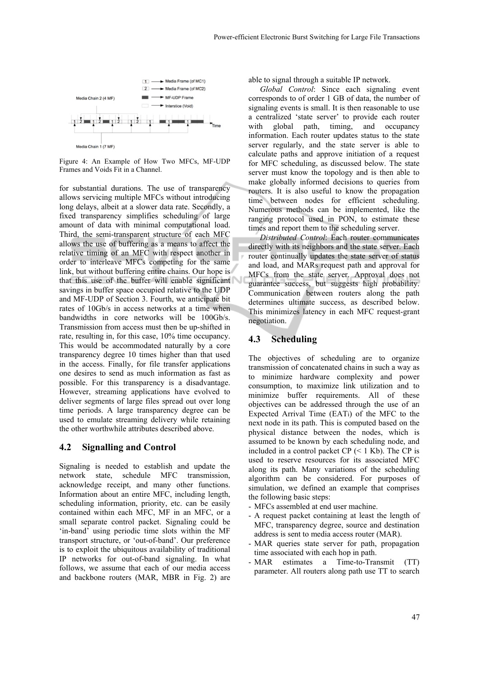

Figure 4: An Example of How Two MFCs, MF-UDP Frames and Voids Fit in a Channel.

for substantial durations. The use of transparency allows servicing multiple MFCs without introducing long delays, albeit at a slower data rate. Secondly, a fixed transparency simplifies scheduling of large amount of data with minimal computational load. Third, the semi-transparent structure of each MFC allows the use of buffering as a means to affect the relative timing of an MFC with respect another in order to interleave MFCs competing for the same link, but without buffering entire chains. Our hope is that this use of the buffer will enable significant savings in buffer space occupied relative to the UDP and MF-UDP of Section 3. Fourth, we anticipate bit rates of 10Gb/s in access networks at a time when bandwidths in core networks will be 100Gb/s. Transmission from access must then be up-shifted in rate, resulting in, for this case, 10% time occupancy. This would be accommodated naturally by a core transparency degree 10 times higher than that used in the access. Finally, for file transfer applications one desires to send as much information as fast as possible. For this transparency is a disadvantage. However, streaming applications have evolved to deliver segments of large files spread out over long time periods. A large transparency degree can be used to emulate streaming delivery while retaining the other worthwhile attributes described above.

#### **4.2 Signalling and Control**

Signaling is needed to establish and update the network state, schedule MFC transmission, acknowledge receipt, and many other functions. Information about an entire MFC, including length, scheduling information, priority, etc. can be easily contained within each MFC, MF in an MFC, or a small separate control packet. Signaling could be 'in-band' using periodic time slots within the MF transport structure, or 'out-of-band'. Our preference is to exploit the ubiquitous availability of traditional IP networks for out-of-band signaling. In what follows, we assume that each of our media access and backbone routers (MAR, MBR in Fig. 2) are

able to signal through a suitable IP network.

*Global Control*: Since each signaling event corresponds to of order 1 GB of data, the number of signaling events is small. It is then reasonable to use a centralized 'state server' to provide each router with global path, timing, and occupancy information. Each router updates status to the state server regularly, and the state server is able to calculate paths and approve initiation of a request for MFC scheduling, as discussed below. The state server must know the topology and is then able to make globally informed decisions to queries from routers. It is also useful to know the propagation time between nodes for efficient scheduling. Numerous methods can be implemented, like the ranging protocol used in PON, to estimate these times and report them to the scheduling server.

*Distributed Control*: Each router communicates directly with its neighbors and the state server. Each router continually updates the state server of status and load, and MARs request path and approval for MFCs from the state server. Approval does not guarantee success, but suggests high probability. Communication between routers along the path determines ultimate success, as described below. This minimizes latency in each MFC request-grant negotiation.

## **4.3 Scheduling**

The objectives of scheduling are to organize transmission of concatenated chains in such a way as to minimize hardware complexity and power consumption, to maximize link utilization and to minimize buffer requirements. All of these objectives can be addressed through the use of an Expected Arrival Time (EATi) of the MFC to the next node in its path. This is computed based on the physical distance between the nodes, which is assumed to be known by each scheduling node, and included in a control packet  $CP$  (< 1 Kb). The CP is used to reserve resources for its associated MFC along its path. Many variations of the scheduling algorithm can be considered. For purposes of simulation, we defined an example that comprises the following basic steps:

- MFCs assembled at end user machine.
- A request packet containing at least the length of MFC, transparency degree, source and destination address is sent to media access router (MAR).
- MAR queries state server for path, propagation time associated with each hop in path.
- MAR estimates a Time-to-Transmit (TT) parameter. All routers along path use TT to search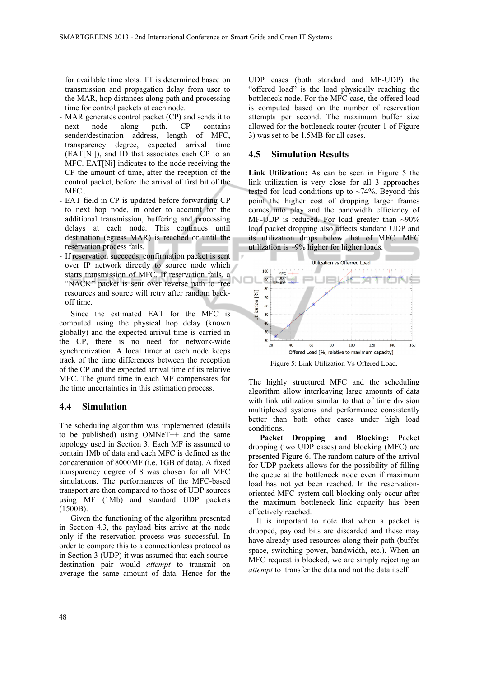for available time slots. TT is determined based on transmission and propagation delay from user to the MAR, hop distances along path and processing time for control packets at each node.

- MAR generates control packet (CP) and sends it to next node along path. CP contains sender/destination address, length of MFC, transparency degree, expected arrival time (EAT[Ni]), and ID that associates each CP to an MFC. EAT[Ni] indicates to the node receiving the CP the amount of time, after the reception of the control packet, before the arrival of first bit of the MFC .
- EAT field in CP is updated before forwarding CP to next hop node, in order to account for the additional transmission, buffering and processing delays at each node. This continues until destination (egress MAR) is reached or until the reservation process fails.
- If reservation succeeds, confirmation packet is sent over IP network directly to source node which starts transmission of MFC. If reservation fails, a "NACK" packet is sent over reverse path to free resources and source will retry after random backoff time.

Since the estimated EAT for the MFC is computed using the physical hop delay (known globally) and the expected arrival time is carried in the CP, there is no need for network-wide synchronization. A local timer at each node keeps track of the time differences between the reception of the CP and the expected arrival time of its relative MFC. The guard time in each MF compensates for the time uncertainties in this estimation process.

#### **4.4 Simulation**

The scheduling algorithm was implemented (details to be published) using OMNeT++ and the same topology used in Section 3. Each MF is assumed to contain 1Mb of data and each MFC is defined as the concatenation of 8000MF (i.e. 1GB of data). A fixed transparency degree of 8 was chosen for all MFC simulations. The performances of the MFC-based transport are then compared to those of UDP sources using MF (1Mb) and standard UDP packets (1500B).

Given the functioning of the algorithm presented in Section 4.3, the payload bits arrive at the node only if the reservation process was successful. In order to compare this to a connectionless protocol as in Section 3 (UDP) it was assumed that each sourcedestination pair would *attempt* to transmit on average the same amount of data. Hence for the

UDP cases (both standard and MF-UDP) the "offered load" is the load physically reaching the bottleneck node. For the MFC case, the offered load is computed based on the number of reservation attempts per second. The maximum buffer size allowed for the bottleneck router (router 1 of Figure 3) was set to be 1.5MB for all cases.

### **4.5 Simulation Results**

**Link Utilization:** As can be seen in Figure 5 the link utilization is very close for all 3 approaches tested for load conditions up to  $\sim$ 74%. Beyond this point the higher cost of dropping larger frames comes into play and the bandwidth efficiency of MF-UDP is reduced. For load greater than  $\sim 90\%$ load packet dropping also affects standard UDP and its utilization drops below that of MFC. MFC utilization is ~9% higher for higher loads.



Figure 5: Link Utilization Vs Offered Load.

The highly structured MFC and the scheduling algorithm allow interleaving large amounts of data with link utilization similar to that of time division multiplexed systems and performance consistently better than both other cases under high load conditions.

**Packet Dropping and Blocking:** Packet dropping (two UDP cases) and blocking (MFC) are presented Figure 6. The random nature of the arrival for UDP packets allows for the possibility of filling the queue at the bottleneck node even if maximum load has not yet been reached. In the reservationoriented MFC system call blocking only occur after the maximum bottleneck link capacity has been effectively reached.

It is important to note that when a packet is dropped, payload bits are discarded and these may have already used resources along their path (buffer space, switching power, bandwidth, etc.). When an MFC request is blocked, we are simply rejecting an *attempt* to transfer the data and not the data itself.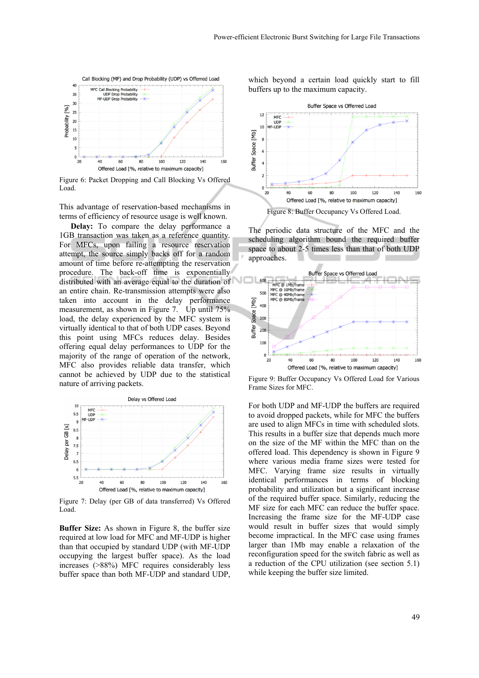

Figure 6: Packet Dropping and Call Blocking Vs Offered Load.

This advantage of reservation-based mechanisms in terms of efficiency of resource usage is well known.

**Delay:** To compare the delay performance a 1GB transaction was taken as a reference quantity. For MFCs, upon failing a resource reservation attempt, the source simply backs off for a random amount of time before re-attempting the reservation procedure. The back-off time is exponentially distributed with an average equal to the duration of an entire chain. Re-transmission attempts were also taken into account in the delay performance measurement, as shown in Figure 7. Up until 75% load, the delay experienced by the MFC system is virtually identical to that of both UDP cases. Beyond this point using MFCs reduces delay. Besides offering equal delay performances to UDP for the majority of the range of operation of the network, MFC also provides reliable data transfer, which cannot be achieved by UDP due to the statistical nature of arriving packets.



Figure 7: Delay (per GB of data transferred) Vs Offered Load.

**Buffer Size:** As shown in Figure 8, the buffer size required at low load for MFC and MF-UDP is higher than that occupied by standard UDP (with MF-UDP occupying the largest buffer space). As the load increases (>88%) MFC requires considerably less buffer space than both MF-UDP and standard UDP,

which beyond a certain load quickly start to fill buffers up to the maximum capacity.



The periodic data structure of the MFC and the scheduling algorithm bound the required buffer space to about 2-5 times less than that of both UDP approaches.



Figure 9: Buffer Occupancy Vs Offered Load for Various Frame Sizes for MFC.

For both UDP and MF-UDP the buffers are required to avoid dropped packets, while for MFC the buffers are used to align MFCs in time with scheduled slots. This results in a buffer size that depends much more on the size of the MF within the MFC than on the offered load. This dependency is shown in Figure 9 where various media frame sizes were tested for MFC. Varying frame size results in virtually identical performances in terms of blocking probability and utilization but a significant increase of the required buffer space. Similarly, reducing the MF size for each MFC can reduce the buffer space. Increasing the frame size for the MF-UDP case would result in buffer sizes that would simply become impractical. In the MFC case using frames larger than 1Mb may enable a relaxation of the reconfiguration speed for the switch fabric as well as a reduction of the CPU utilization (see section 5.1) while keeping the buffer size limited.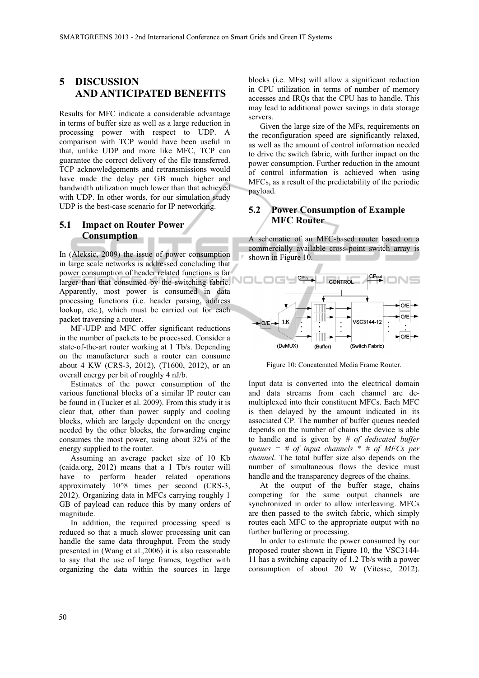## **5 DISCUSSION AND ANTICIPATED BENEFITS**

Results for MFC indicate a considerable advantage in terms of buffer size as well as a large reduction in processing power with respect to UDP. A comparison with TCP would have been useful in that, unlike UDP and more like MFC, TCP can guarantee the correct delivery of the file transferred. TCP acknowledgements and retransmissions would have made the delay per GB much higher and bandwidth utilization much lower than that achieved with UDP. In other words, for our simulation study UDP is the best-case scenario for IP networking.

### **5.1 Impact on Router Power Consumption**

In (Aleksic, 2009) the issue of power consumption in large scale networks is addressed concluding that power consumption of header related functions is far larger than that consumed by the switching fabric. Apparently, most power is consumed in data processing functions (i.e. header parsing, address lookup, etc.), which must be carried out for each packet traversing a router.

MF-UDP and MFC offer significant reductions in the number of packets to be processed. Consider a state-of-the-art router working at 1 Tb/s. Depending on the manufacturer such a router can consume about 4 KW (CRS-3, 2012), (T1600, 2012), or an overall energy per bit of roughly 4 nJ/b.

Estimates of the power consumption of the various functional blocks of a similar IP router can be found in (Tucker et al. 2009). From this study it is clear that, other than power supply and cooling blocks, which are largely dependent on the energy needed by the other blocks, the forwarding engine consumes the most power, using about 32% of the energy supplied to the router.

Assuming an average packet size of 10 Kb (caida.org, 2012) means that a 1 Tb/s router will have to perform header related operations approximately 10^8 times per second (CRS-3, 2012). Organizing data in MFCs carrying roughly 1 GB of payload can reduce this by many orders of magnitude.

In addition, the required processing speed is reduced so that a much slower processing unit can handle the same data throughput. From the study presented in (Wang et al.,2006) it is also reasonable to say that the use of large frames, together with organizing the data within the sources in large

blocks (i.e. MFs) will allow a significant reduction in CPU utilization in terms of number of memory accesses and IRQs that the CPU has to handle. This may lead to additional power savings in data storage servers.

Given the large size of the MFs, requirements on the reconfiguration speed are significantly relaxed, as well as the amount of control information needed to drive the switch fabric, with further impact on the power consumption. Further reduction in the amount of control information is achieved when using MFCs, as a result of the predictability of the periodic payload.

## **5.2 Power Consumption of Example MFC Router**

A schematic of an MFC-based router based on a commercially available cross-point switch array is shown in Figure 10.



Figure 10: Concatenated Media Frame Router.

Input data is converted into the electrical domain and data streams from each channel are demultiplexed into their constituent MFCs. Each MFC is then delayed by the amount indicated in its associated CP. The number of buffer queues needed depends on the number of chains the device is able to handle and is given by *# of dedicated buffer queues = # of input channels* \* *# of MFCs per channel*. The total buffer size also depends on the number of simultaneous flows the device must handle and the transparency degrees of the chains.

At the output of the buffer stage, chains competing for the same output channels are synchronized in order to allow interleaving. MFCs are then passed to the switch fabric, which simply routes each MFC to the appropriate output with no further buffering or processing.

In order to estimate the power consumed by our proposed router shown in Figure 10, the VSC3144- 11 has a switching capacity of 1.2 Tb/s with a power consumption of about 20 W (Vitesse, 2012).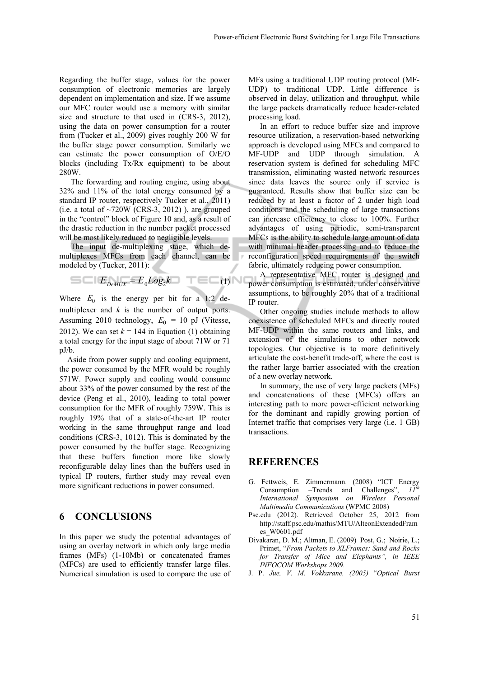Regarding the buffer stage, values for the power consumption of electronic memories are largely dependent on implementation and size. If we assume our MFC router would use a memory with similar size and structure to that used in (CRS-3, 2012), using the data on power consumption for a router from (Tucker et al., 2009) gives roughly 200 W for the buffer stage power consumption. Similarly we can estimate the power consumption of O/E/O blocks (including Tx/Rx equipment) to be about 280W.

The forwarding and routing engine, using about 32% and 11% of the total energy consumed by a standard IP router, respectively Tucker et al., 2011) (i.e. a total of  $\sim$ 720W (CRS-3, 2012)), are grouped in the "control" block of Figure 10 and, as a result of the drastic reduction in the number packet processed will be most likely reduced to negligible levels.

The input de-multiplexing stage, which demultiplexes MFCs from each channel, can be modeled by (Tucker, 2011):

$$
E_{DeMUX} = E_0 Log_2 k \quad \top \equiv \top (1)
$$

Where  $E_0$  is the energy per bit for a 1:2 demultiplexer and *k* is the number of output ports. Assuming 2010 technology,  $E_0 = 10$  pJ (Vitesse, 2012). We can set  $k = 144$  in Equation (1) obtaining a total energy for the input stage of about 71W or 71 pJ/b.

Aside from power supply and cooling equipment, the power consumed by the MFR would be roughly 571W. Power supply and cooling would consume about 33% of the power consumed by the rest of the device (Peng et al., 2010), leading to total power consumption for the MFR of roughly 759W. This is roughly 19% that of a state-of-the-art IP router working in the same throughput range and load conditions (CRS-3, 1012). This is dominated by the power consumed by the buffer stage. Recognizing that these buffers function more like slowly reconfigurable delay lines than the buffers used in typical IP routers, further study may reveal even more significant reductions in power consumed.

## **6 CONCLUSIONS**

In this paper we study the potential advantages of using an overlay network in which only large media frames (MFs) (1-10Mb) or concatenated frames (MFCs) are used to efficiently transfer large files. Numerical simulation is used to compare the use of MFs using a traditional UDP routing protocol (MF-UDP) to traditional UDP. Little difference is observed in delay, utilization and throughput, while the large packets dramatically reduce header-related processing load.

In an effort to reduce buffer size and improve resource utilization, a reservation-based networking approach is developed using MFCs and compared to MF-UDP and UDP through simulation. A reservation system is defined for scheduling MFC transmission, eliminating wasted network resources since data leaves the source only if service is guaranteed. Results show that buffer size can be reduced by at least a factor of 2 under high load conditions and the scheduling of large transactions can increase efficiency to close to 100%. Further advantages of using periodic, semi-transparent MFCs is the ability to schedule large amount of data with minimal header processing and to reduce the reconfiguration speed requirements of the switch fabric, ultimately reducing power consumption.

A representative MFC router is designed and power consumption is estimated, under conservative assumptions, to be roughly 20% that of a traditional IP router.

Other ongoing studies include methods to allow coexistence of scheduled MFCs and directly routed MF-UDP within the same routers and links, and extension of the simulations to other network topologies. Our objective is to more definitively articulate the cost-benefit trade-off, where the cost is the rather large barrier associated with the creation of a new overlay network.

In summary, the use of very large packets (MFs) and concatenations of these (MFCs) offers an interesting path to more power-efficient networking for the dominant and rapidly growing portion of Internet traffic that comprises very large (i.e. 1 GB) transactions.

## **REFERENCES**

- G. Fettweis, E. Zimmermann. (2008) "ICT Energy Consumption –Trends and Challenges", *11th International Symposium on Wireless Personal Multimedia Communications* (WPMC 2008)
- Psc.edu (2012). Retrieved October 25, 2012 from http://staff.psc.edu/mathis/MTU/AlteonExtendedFram es\_W0601.pdf
- Divakaran, D. M.; Altman, E. (2009) Post, G.; Noirie, L.; Primet, "*From Packets to XLFrames: Sand and Rocks for Transfer of Mice and Elephants", in IEEE INFOCOM Workshops 2009.*
- J. P. *Jue, V. M. Vokkarane, (2005)* "*Optical Burst*